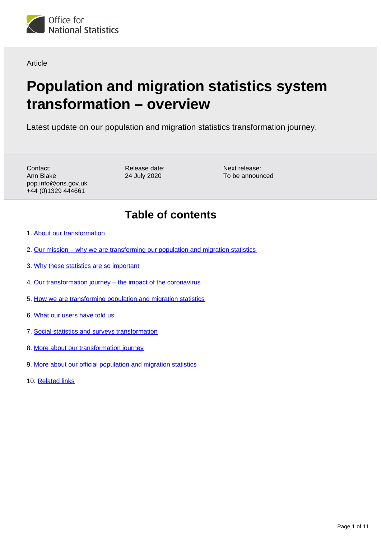

Article

# **Population and migration statistics system transformation – overview**

Latest update on our population and migration statistics transformation journey.

Contact: Ann Blake pop.info@ons.gov.uk +44 (0)1329 444661

Release date: 24 July 2020

Next release: To be announced

### **Table of contents**

- 1. [About our transformation](#page-1-0)
- 2. [Our mission why we are transforming our population and migration statistics](#page-1-1)
- 3. [Why these statistics are so important](#page-1-2)
- 4. [Our transformation journey the impact of the coronavirus](#page-2-0)
- 5. [How we are transforming population and migration statistics](#page-2-1)
- 6. [What our users have told us](#page-6-0)
- 7. [Social statistics and surveys transformation](#page-7-0)
- 8. [More about our transformation journey](#page-8-0)
- 9. [More about our official population and migration statistics](#page-9-0)
- 10. [Related links](#page-10-0)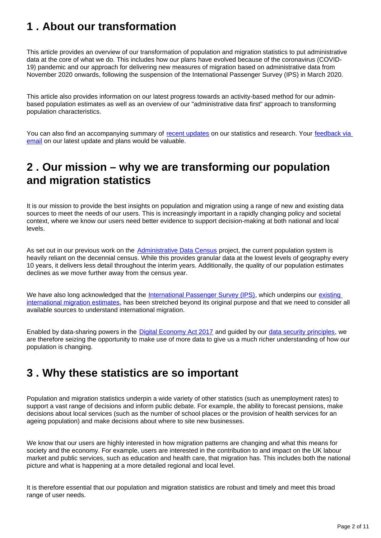# <span id="page-1-0"></span>**1 . About our transformation**

This article provides an overview of our transformation of population and migration statistics to put administrative data at the core of what we do. This includes how our plans have evolved because of the coronavirus (COVID-19) pandemic and our approach for delivering new measures of migration based on administrative data from November 2020 onwards, following the suspension of the International Passenger Survey (IPS) in March 2020.

This article also provides information on our latest progress towards an activity-based method for our adminbased population estimates as well as an overview of our "administrative data first" approach to transforming population characteristics.

You can also find an accompanying summary of [recent updates](https://www.ons.gov.uk/peoplepopulationandcommunity/populationandmigration/internationalmigration/articles/populationandmigrationstatisticssystemtransformationrecentupdates/previousReleases) on our statistics and research. Your feedback via email on our latest update and plans would be valuable.

### <span id="page-1-1"></span>**2 . Our mission – why we are transforming our population and migration statistics**

It is our mission to provide the best insights on population and migration using a range of new and existing data sources to meet the needs of our users. This is increasingly important in a rapidly changing policy and societal context, where we know our users need better evidence to support decision-making at both national and local levels.

As set out in our previous work on the [Administrative Data Census](https://www.ons.gov.uk/census/censustransformationprogramme/administrativedatacensusproject/administrativedatacensusannualassessments/annualassessmentofonssprogressontheadministrativedatacensusjuly2018) project, the current population system is heavily reliant on the decennial census. While this provides granular data at the lowest levels of geography every 10 years, it delivers less detail throughout the interim years. Additionally, the quality of our population estimates declines as we move further away from the census year.

We have also long acknowledged that the [International Passenger Survey \(IPS\),](https://www.ons.gov.uk/surveys/informationforhouseholdsandindividuals/householdandindividualsurveys/internationalpassengersurvey) which underpins our existing [international migration estimates](https://www.ons.gov.uk/peoplepopulationandcommunity/populationandmigration/internationalmigration/bulletins/migrationstatisticsquarterlyreport/previousReleases), has been stretched beyond its original purpose and that we need to consider all available sources to understand international migration.

Enabled by data-sharing powers in the [Digital Economy Act 2017](https://www.legislation.gov.uk/ukpga/2017/30/contents) and guided by our [data security principles](https://www.ons.gov.uk/aboutus/transparencyandgovernance/dataprotection), we are therefore seizing the opportunity to make use of more data to give us a much richer understanding of how our population is changing.

### <span id="page-1-2"></span>**3 . Why these statistics are so important**

Population and migration statistics underpin a wide variety of other statistics (such as unemployment rates) to support a vast range of decisions and inform public debate. For example, the ability to forecast pensions, make decisions about local services (such as the number of school places or the provision of health services for an ageing population) and make decisions about where to site new businesses.

We know that our users are highly interested in how migration patterns are changing and what this means for society and the economy. For example, users are interested in the contribution to and impact on the UK labour market and public services, such as education and health care, that migration has. This includes both the national picture and what is happening at a more detailed regional and local level.

It is therefore essential that our population and migration statistics are robust and timely and meet this broad range of user needs.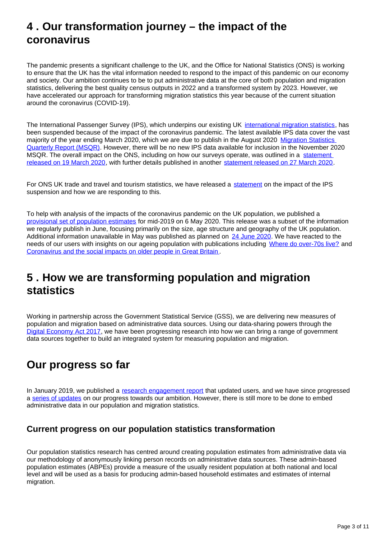## <span id="page-2-0"></span>**4 . Our transformation journey – the impact of the coronavirus**

The pandemic presents a significant challenge to the UK, and the Office for National Statistics (ONS) is working to ensure that the UK has the vital information needed to respond to the impact of this pandemic on our economy and society. Our ambition continues to be to put administrative data at the core of both population and migration statistics, delivering the best quality census outputs in 2022 and a transformed system by 2023. However, we have accelerated our approach for transforming migration statistics this year because of the current situation around the coronavirus (COVID-19).

The International Passenger Survey (IPS), which underpins our existing UK [international migration statistics,](https://www.ons.gov.uk/peoplepopulationandcommunity/populationandmigration/internationalmigration/bulletins/migrationstatisticsquarterlyreport/latest) has been suspended because of the impact of the coronavirus pandemic. The latest available IPS data cover the vast majority of the year ending March 2020, which we are due to publish in the August 2020 Migration Statistics [Quarterly Report \(MSQR\)](https://www.ons.gov.uk/peoplepopulationandcommunity/populationandmigration/internationalmigration/bulletins/migrationstatisticsquarterlyreport/previousReleases). However, there will be no new IPS data available for inclusion in the November 2020 MSQR. The overall impact on the ONS, including on how our surveys operate, was outlined in a statement [released on 19 March 2020](https://www.ons.gov.uk/news/statementsandletters/covid19andtheproductionofstatistics), with further details published in another [statement released on 27 March 2020.](https://www.ons.gov.uk/news/statementsandletters/ensuringthebestpossibleinformationduringcovid19throughsafedatacollection)

For ONS UK trade and travel and tourism statistics, we have released a [statement](https://www.ons.gov.uk/news/statementsandletters/theimpactofsuspendingtheinternationalpassengersurveyonuktradeandoverseastravelandtourismstatistics) on the impact of the IPS suspension and how we are responding to this.

To help with analysis of the impacts of the coronavirus pandemic on the UK population, we published a [provisional set of population estimates](https://www.ons.gov.uk/peoplepopulationandcommunity/populationandmigration/populationestimates/bulletins/annualmidyearpopulationestimates/mid2019) for mid-2019 on 6 May 2020. This release was a subset of the information we regularly publish in June, focusing primarily on the size, age structure and geography of the UK population. Additional information unavailable in May was published as planned on [24 June 2020.](https://www.ons.gov.uk/peoplepopulationandcommunity/populationandmigration/populationestimates/bulletins/annualmidyearpopulationestimates/mid2019estimates) We have reacted to the needs of our users with insights on our ageing population with publications including [Where do over-70s live?](https://www.ons.gov.uk/peoplepopulationandcommunity/healthandsocialcare/conditionsanddiseases/articles/wheredoover70slive/2020-03-24) and [Coronavirus and the social impacts on older people in Great Britain](https://www.ons.gov.uk/peoplepopulationandcommunity/birthsdeathsandmarriages/ageing/articles/coronavirusandthesocialimpactsonolderpeopleingreatbritain/3aprilto10may2020) .

# <span id="page-2-1"></span>**5 . How we are transforming population and migration statistics**

Working in partnership across the Government Statistical Service (GSS), we are delivering new measures of population and migration based on administrative data sources. Using our data-sharing powers through the [Digital Economy Act 2017,](https://www.legislation.gov.uk/ukpga/2017/30/contents) we have been progressing research into how we can bring a range of government data sources together to build an integrated system for measuring population and migration.

### **Our progress so far**

In January 2019, we published a [research engagement report](https://www.ons.gov.uk/peoplepopulationandcommunity/populationandmigration/internationalmigration/articles/updateonourpopulationandmigrationstatisticstransformationjourneyaresearchengagementreport/2019-01-30) that updated users, and we have since progressed a [series of updates](https://www.ons.gov.uk/peoplepopulationandcommunity/populationandmigration/internationalmigration/articles/transformationofthepopulationandmigrationstatisticssystemoverview/2019-06-21#more-about-our-transformation-journey) on our progress towards our ambition. However, there is still more to be done to embed administrative data in our population and migration statistics.

#### **Current progress on our population statistics transformation**

Our population statistics research has centred around creating population estimates from administrative data via our methodology of anonymously linking person records on administrative data sources. These admin-based population estimates (ABPEs) provide a measure of the usually resident population at both national and local level and will be used as a basis for producing admin-based household estimates and estimates of internal migration.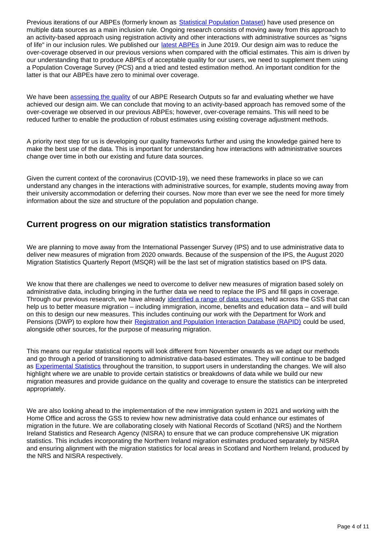Previous iterations of our ABPEs (formerly known as **Statistical Population Dataset**) have used presence on multiple data sources as a main inclusion rule. Ongoing research consists of moving away from this approach to an activity-based approach using registration activity and other interactions with administrative sources as "signs of life" in our inclusion rules. We published our [latest ABPEs](https://www.ons.gov.uk/peoplepopulationandcommunity/populationandmigration/populationestimates/articles/developingourapproachforproducingadminbasedpopulationestimatesenglandandwales2011and2016/2019-06-21) in June 2019. Our design aim was to reduce the over-coverage observed in our previous versions when compared with the official estimates. This aim is driven by our understanding that to produce ABPEs of acceptable quality for our users, we need to supplement them using a Population Coverage Survey (PCS) and a tried and tested estimation method. An important condition for the latter is that our ABPEs have zero to minimal over coverage.

We have been [assessing the quality](https://www.ons.gov.uk/peoplepopulationandcommunity/populationandmigration/internationalmigration/articles/populationandmigrationstatisticssystemtransformationrecentupdates/evaluatingcoverageandqualityintheadminbasedpopulationestimates) of our ABPE Research Outputs so far and evaluating whether we have achieved our design aim. We can conclude that moving to an activity-based approach has removed some of the over-coverage we observed in our previous ABPEs; however, over-coverage remains. This will need to be reduced further to enable the production of robust estimates using existing coverage adjustment methods.

A priority next step for us is developing our quality frameworks further and using the knowledge gained here to make the best use of the data. This is important for understanding how interactions with administrative sources change over time in both our existing and future data sources.

Given the current context of the coronavirus (COVID-19), we need these frameworks in place so we can understand any changes in the interactions with administrative sources, for example, students moving away from their university accommodation or deferring their courses. Now more than ever we see the need for more timely information about the size and structure of the population and population change.

#### **Current progress on our migration statistics transformation**

We are planning to move away from the International Passenger Survey (IPS) and to use administrative data to deliver new measures of migration from 2020 onwards. Because of the suspension of the IPS, the August 2020 Migration Statistics Quarterly Report (MSQR) will be the last set of migration statistics based on IPS data.

We know that there are challenges we need to overcome to deliver new measures of migration based solely on administrative data, including bringing in the further data we need to replace the IPS and fill gaps in coverage. Through our previous research, we have already [identified a range of data sources](https://www.ons.gov.uk/peoplepopulationandcommunity/populationandmigration/internationalmigration/articles/updateonourpopulationandmigrationstatisticstransformationjourneyaresearchengagementreport/2019-01-30) held across the GSS that can help us to better measure migration – including immigration, income, benefits and education data – and will build on this to design our new measures. This includes continuing our work with the Department for Work and Pensions (DWP) to explore how their [Registration and Population Interaction Database \(RAPID\)](https://www.ons.gov.uk/peoplepopulationandcommunity/populationandmigration/internationalmigration/articles/populationandmigrationstatisticssystemtransformationrecentupdates/2020-05-21#update-on-analysis-to-explore-how-the-dwps-rapid-could-be-used-to-measure-migration) could be used, alongside other sources, for the purpose of measuring migration.

This means our regular statistical reports will look different from November onwards as we adapt our methods and go through a period of transitioning to administrative data-based estimates. They will continue to be badged as [Experimental Statistics](https://www.ons.gov.uk/methodology/methodologytopicsandstatisticalconcepts/guidetoexperimentalstatistics) throughout the transition, to support users in understanding the changes. We will also highlight where we are unable to provide certain statistics or breakdowns of data while we build our new migration measures and provide guidance on the quality and coverage to ensure the statistics can be interpreted appropriately.

We are also looking ahead to the implementation of the new immigration system in 2021 and working with the Home Office and across the GSS to review how new administrative data could enhance our estimates of migration in the future. We are collaborating closely with National Records of Scotland (NRS) and the Northern Ireland Statistics and Research Agency (NISRA) to ensure that we can produce comprehensive UK migration statistics. This includes incorporating the Northern Ireland migration estimates produced separately by NISRA and ensuring alignment with the migration statistics for local areas in Scotland and Northern Ireland, produced by the NRS and NISRA respectively.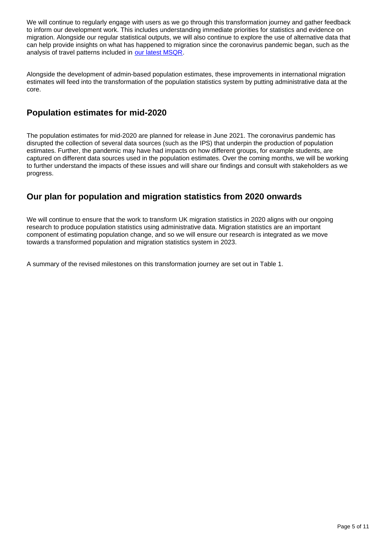We will continue to regularly engage with users as we go through this transformation journey and gather feedback to inform our development work. This includes understanding immediate priorities for statistics and evidence on migration. Alongside our regular statistical outputs, we will also continue to explore the use of alternative data that can help provide insights on what has happened to migration since the coronavirus pandemic began, such as the analysis of travel patterns included in [our latest MSQR.](https://www.ons.gov.uk/peoplepopulationandcommunity/populationandmigration/internationalmigration/bulletins/migrationstatisticsquarterlyreport/latest)

Alongside the development of admin-based population estimates, these improvements in international migration estimates will feed into the transformation of the population statistics system by putting administrative data at the core.

### **Population estimates for mid-2020**

The population estimates for mid-2020 are planned for release in June 2021. The coronavirus pandemic has disrupted the collection of several data sources (such as the IPS) that underpin the production of population estimates. Further, the pandemic may have had impacts on how different groups, for example students, are captured on different data sources used in the population estimates. Over the coming months, we will be working to further understand the impacts of these issues and will share our findings and consult with stakeholders as we progress.

### **Our plan for population and migration statistics from 2020 onwards**

We will continue to ensure that the work to transform UK migration statistics in 2020 aligns with our ongoing research to produce population statistics using administrative data. Migration statistics are an important component of estimating population change, and so we will ensure our research is integrated as we move towards a transformed population and migration statistics system in 2023.

A summary of the revised milestones on this transformation journey are set out in Table 1.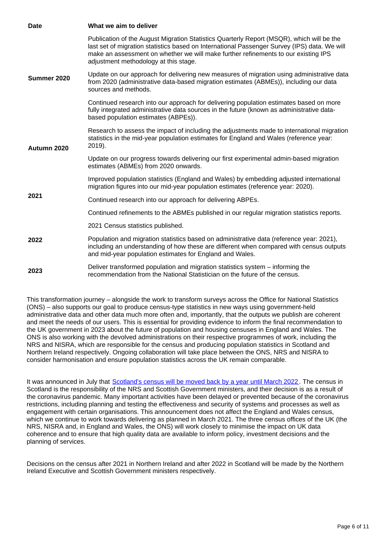| <b>Date</b> | What we aim to deliver                                                                                                                                                                                                                                                                                                   |
|-------------|--------------------------------------------------------------------------------------------------------------------------------------------------------------------------------------------------------------------------------------------------------------------------------------------------------------------------|
| Summer 2020 | Publication of the August Migration Statistics Quarterly Report (MSQR), which will be the<br>last set of migration statistics based on International Passenger Survey (IPS) data. We will<br>make an assessment on whether we will make further refinements to our existing IPS<br>adjustment methodology at this stage. |
|             | Update on our approach for delivering new measures of migration using administrative data<br>from 2020 (administrative data-based migration estimates (ABMEs)), including our data<br>sources and methods.                                                                                                               |
|             | Continued research into our approach for delivering population estimates based on more<br>fully integrated administrative data sources in the future (known as administrative data-<br>based population estimates (ABPEs)).                                                                                              |
| Autumn 2020 | Research to assess the impact of including the adjustments made to international migration<br>statistics in the mid-year population estimates for England and Wales (reference year:<br>2019).                                                                                                                           |
|             | Update on our progress towards delivering our first experimental admin-based migration<br>estimates (ABMEs) from 2020 onwards.                                                                                                                                                                                           |
| 2021        | Improved population statistics (England and Wales) by embedding adjusted international<br>migration figures into our mid-year population estimates (reference year: 2020).                                                                                                                                               |
|             | Continued research into our approach for delivering ABPEs.                                                                                                                                                                                                                                                               |
|             | Continued refinements to the ABMEs published in our regular migration statistics reports.                                                                                                                                                                                                                                |
| 2022        | 2021 Census statistics published.                                                                                                                                                                                                                                                                                        |
|             | Population and migration statistics based on administrative data (reference year: 2021),<br>including an understanding of how these are different when compared with census outputs<br>and mid-year population estimates for England and Wales.                                                                          |
| 2023        | Deliver transformed population and migration statistics system – informing the<br>recommendation from the National Statistician on the future of the census.                                                                                                                                                             |

This transformation journey – alongside the work to transform surveys across the Office for National Statistics (ONS) – also supports our goal to produce census-type statistics in new ways using government-held administrative data and other data much more often and, importantly, that the outputs we publish are coherent and meet the needs of our users. This is essential for providing evidence to inform the final recommendation to the UK government in 2023 about the future of population and housing censuses in England and Wales. The ONS is also working with the devolved administrations on their respective programmes of work, including the NRS and NISRA, which are responsible for the census and producing population statistics in Scotland and Northern Ireland respectively. Ongoing collaboration will take place between the ONS, NRS and NISRA to consider harmonisation and ensure population statistics across the UK remain comparable.

It was announced in July that [Scotland's census will be moved back by a year until March 2022](https://www.nrscotland.gov.uk/news/2020/scotlands-census-to-be-moved-to-march-2022) . The census in Scotland is the responsibility of the NRS and Scottish Government ministers, and their decision is as a result of the coronavirus pandemic. Many important activities have been delayed or prevented because of the coronavirus restrictions, including planning and testing the effectiveness and security of systems and processes as well as engagement with certain organisations. This announcement does not affect the England and Wales census, which we continue to work towards delivering as planned in March 2021. The three census offices of the UK (the NRS, NISRA and, in England and Wales, the ONS) will work closely to minimise the impact on UK data coherence and to ensure that high quality data are available to inform policy, investment decisions and the planning of services.

Decisions on the census after 2021 in Northern Ireland and after 2022 in Scotland will be made by the Northern Ireland Executive and Scottish Government ministers respectively.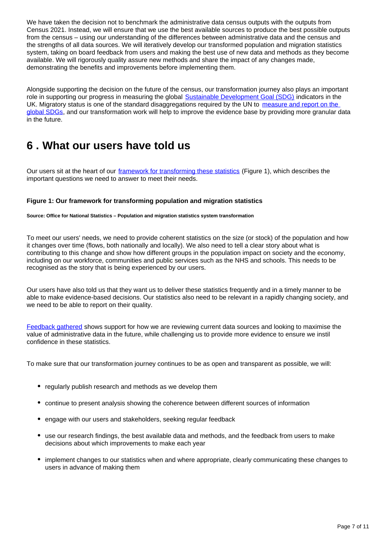We have taken the decision not to benchmark the administrative data census outputs with the outputs from Census 2021. Instead, we will ensure that we use the best available sources to produce the best possible outputs from the census – using our understanding of the differences between administrative data and the census and the strengths of all data sources. We will iteratively develop our transformed population and migration statistics system, taking on board feedback from users and making the best use of new data and methods as they become available. We will rigorously quality assure new methods and share the impact of any changes made, demonstrating the benefits and improvements before implementing them.

Alongside supporting the decision on the future of the census, our transformation journey also plays an important role in supporting our progress in measuring the global [Sustainable Development Goal \(SDG\)](https://www.un.org/sustainabledevelopment/sustainable-development-goals/) indicators in the UK. Migratory status is one of the standard disaggregations required by the UN to measure and report on the [global SDGs,](https://sustainabledevelopment-uk.github.io/) and our transformation work will help to improve the evidence base by providing more granular data in the future.

### <span id="page-6-0"></span>**6 . What our users have told us**

Our users sit at the heart of our [framework for transforming these statistics](https://www.ons.gov.uk/peoplepopulationandcommunity/populationandmigration/internationalmigration/articles/updateonourpopulationandmigrationstatisticstransformationjourneyaresearchengagementreport/2019-01-30#our-framework-for-transforming-population-and-migration-statistics) (Figure 1), which describes the important questions we need to answer to meet their needs.

#### **Figure 1: Our framework for transforming population and migration statistics**

**Source: Office for National Statistics – Population and migration statistics system transformation**

To meet our users' needs, we need to provide coherent statistics on the size (or stock) of the population and how it changes over time (flows, both nationally and locally). We also need to tell a clear story about what is contributing to this change and show how different groups in the population impact on society and the economy, including on our workforce, communities and public services such as the NHS and schools. This needs to be recognised as the story that is being experienced by our users.

Our users have also told us that they want us to deliver these statistics frequently and in a timely manner to be able to make evidence-based decisions. Our statistics also need to be relevant in a rapidly changing society, and we need to be able to report on their quality.

[Feedback gathered](https://www.ons.gov.uk/peoplepopulationandcommunity/populationandmigration/internationalmigration/articles/feedbackonthepopulationandmigrationstatisticstransformationprogramme/2019-06-21) shows support for how we are reviewing current data sources and looking to maximise the value of administrative data in the future, while challenging us to provide more evidence to ensure we instil confidence in these statistics.

To make sure that our transformation journey continues to be as open and transparent as possible, we will:

- regularly publish research and methods as we develop them
- continue to present analysis showing the coherence between different sources of information
- engage with our users and stakeholders, seeking regular feedback
- use our research findings, the best available data and methods, and the feedback from users to make decisions about which improvements to make each year
- implement changes to our statistics when and where appropriate, clearly communicating these changes to users in advance of making them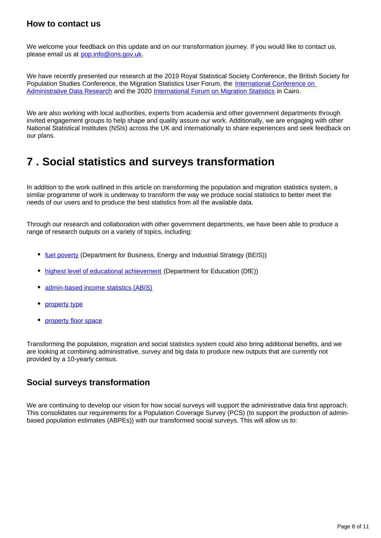#### **How to contact us**

We welcome your feedback on this update and on our transformation journey. If you would like to contact us, please email us at pop.info@ons.gov.uk.

We have recently presented our research at the 2019 Royal Statistical Society Conference, the British Society for Population Studies Conference, the Migration Statistics User Forum, the International Conference on [Administrative Data Research](https://ijpds.org/adr2019) and the 2020 [International Forum on Migration Statistics](https://www.iom.int/ifms/) in Cairo.

We are also working with local authorities, experts from academia and other government departments through invited engagement groups to help shape and quality assure our work. Additionally, we are engaging with other National Statistical Institutes (NSIs) across the UK and internationally to share experiences and seek feedback on our plans.

### <span id="page-7-0"></span>**7 . Social statistics and surveys transformation**

In addition to the work outlined in this article on transforming the population and migration statistics system, a similar programme of work is underway to transform the way we produce social statistics to better meet the needs of our users and to produce the best statistics from all the available data.

Through our research and collaboration with other government departments, we have been able to produce a range of research outputs on a variety of topics, including:

- [fuel poverty](https://www.ons.gov.uk/peoplepopulationandcommunity/housing/articles/researchoutputssmallareaestimationoffuelpovertyinengland2013to2017/2019-07-08) (Department for Business, Energy and Industrial Strategy (BEIS))
- [highest level of educational achievement](https://www.ons.gov.uk/peoplepopulationandcommunity/educationandchildcare/articles/adminbasedqualificationstatisticsfeasibilityresearchengland/2019-10-22) (Department for Education (DfE))
- [admin-based income statistics \(ABIS\)](https://www.ons.gov.uk/census/censustransformationprogramme/administrativedatacensusproject/administrativedatacensusresearchoutputs/populationcharacteristics/adminbasedincomestatisticsenglandandwalestaxyearending2016)
- [property type](https://www.ons.gov.uk/peoplepopulationandcommunity/housing/methodologies/adminbasedstatisticsforpropertytypefeasibilityresearchenglandandwales)
- [property floor space](https://www.ons.gov.uk/peoplepopulationandcommunity/housing/methodologies/adminbasedstatisticsforpropertyfloorspacefeasibilityresearchenglandandwales)

Transforming the population, migration and social statistics system could also bring additional benefits, and we are looking at combining administrative, survey and big data to produce new outputs that are currently not provided by a 10-yearly census.

#### **Social surveys transformation**

We are continuing to develop our vision for how social surveys will support the administrative data first approach. This consolidates our requirements for a Population Coverage Survey (PCS) (to support the production of adminbased population estimates (ABPEs)) with our transformed social surveys. This will allow us to: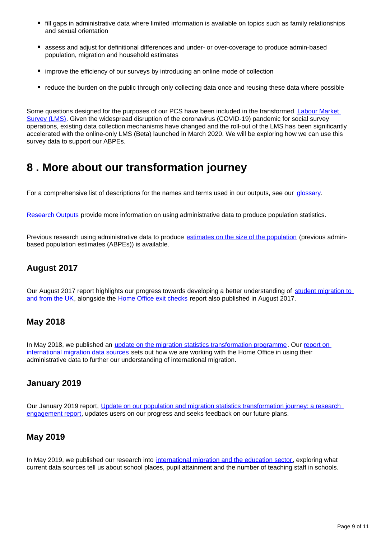- fill gaps in administrative data where limited information is available on topics such as family relationships and sexual orientation
- assess and adjust for definitional differences and under- or over-coverage to produce admin-based population, migration and household estimates
- improve the efficiency of our surveys by introducing an online mode of collection
- reduce the burden on the public through only collecting data once and reusing these data where possible

Some questions designed for the purposes of our PCS have been included in the transformed [Labour Market](https://blog.ons.gov.uk/2020/07/08/moving-online-how-ons-is-digitising-its-labour-market-surveys/)  [Survey \(LMS\).](https://blog.ons.gov.uk/2020/07/08/moving-online-how-ons-is-digitising-its-labour-market-surveys/) Given the widespread disruption of the coronavirus (COVID-19) pandemic for social survey operations, existing data collection mechanisms have changed and the roll-out of the LMS has been significantly accelerated with the online-only LMS (Beta) launched in March 2020. We will be exploring how we can use this survey data to support our ABPEs.

### <span id="page-8-0"></span>**8 . More about our transformation journey**

For a comprehensive list of descriptions for the names and terms used in our outputs, see our [glossary.](https://www.ons.gov.uk/census/censustransformationprogramme/administrativedatacensusproject/glossary)

[Research Outputs](https://www.ons.gov.uk/census/censustransformationprogramme/administrativedatacensusproject/administrativedatacensusresearchoutputs) provide more information on using administrative data to produce population statistics.

Previous research using administrative data to produce [estimates on the size of the population](https://www.ons.gov.uk/census/censustransformationprogramme/administrativedatacensusproject/administrativedatacensusresearchoutputs/sizeofthepopulation) (previous adminbased population estimates (ABPEs)) is available.

### **August 2017**

Our August 2017 report highlights our progress towards developing a better understanding of [student migration to](https://www.ons.gov.uk/peoplepopulationandcommunity/populationandmigration/internationalmigration/articles/whatshappeningwithinternationalstudentmigration/2017-08-24)  [and from the UK,](https://www.ons.gov.uk/peoplepopulationandcommunity/populationandmigration/internationalmigration/articles/whatshappeningwithinternationalstudentmigration/2017-08-24) alongside the [Home Office exit checks](https://www.gov.uk/government/statistics/second-report-on-statistics-being-collected-under-the-exit-checks-programme) report also published in August 2017.

#### **May 2018**

In May 2018, we published an *[update on the migration statistics transformation programme](https://www.ons.gov.uk/peoplepopulationandcommunity/populationandmigration/internationalmigration/articles/migrationstatisticstransformationupdate/2018-05-24)*. Our report on [international migration data sources](https://www.ons.gov.uk/peoplepopulationandcommunity/populationandmigration/internationalmigration/articles/reportonthecomplexityandqualityofinternationalmigrationstatistics/july2018) sets out how we are working with the Home Office in using their administrative data to further our understanding of international migration.

#### **January 2019**

Our January 2019 report, Update on our population and migration statistics transformation journey: a research [engagement report](https://www.ons.gov.uk/peoplepopulationandcommunity/populationandmigration/internationalmigration/articles/updateonourpopulationandmigrationstatisticstransformationjourneyaresearchengagementreport/2019-01-30), updates users on our progress and seeks feedback on our future plans.

#### **May 2019**

In May 2019, we published our research into [international migration and the education sector](https://www.ons.gov.uk/peoplepopulationandcommunity/populationandmigration/internationalmigration/articles/internationalmigrationandtheeducationsectorwhatdoesthecurrentevidenceshow/2019-05-03), exploring what current data sources tell us about school places, pupil attainment and the number of teaching staff in schools.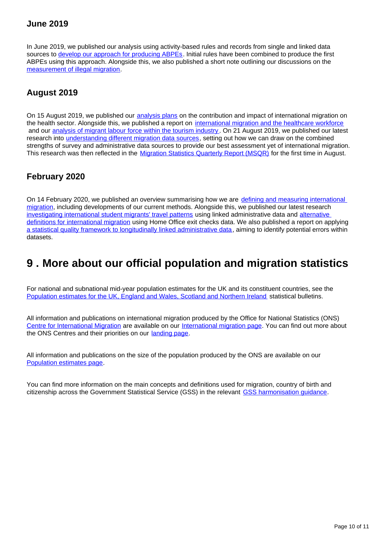### **June 2019**

In June 2019, we published our analysis using activity-based rules and records from single and linked data sources to [develop our approach for producing ABPEs.](https://www.ons.gov.uk/peoplepopulationandcommunity/populationandmigration/populationestimates/articles/developingourapproachforproducingadminbasedpopulationestimatesenglandandwales2011and2016/2019-06-21#development-of-the-rules-for-abpe-v30) Initial rules have been combined to produce the first ABPEs using this approach. Alongside this, we also published a short note outlining our discussions on the [measurement of illegal migration.](https://www.ons.gov.uk/peoplepopulationandcommunity/populationandmigration/internationalmigration/articles/measuringillegalmigrationourcurrentview/2019-06-21)

### **August 2019**

On 15 August 2019, we published our [analysis plans](https://www.ons.gov.uk/peoplepopulationandcommunity/populationandmigration/internationalmigration/articles/internationalmigrationandthehealthsector/ouranalysisplans) on the contribution and impact of international migration on the health sector. Alongside this, we published a report on [international migration and the healthcare workforce](https://www.ons.gov.uk/peoplepopulationandcommunity/populationandmigration/internationalmigration/articles/internationalmigrationandthehealthcareworkforce/2019-08-15) and our [analysis of migrant labour force within the tourism industry](https://www.ons.gov.uk/peoplepopulationandcommunity/populationandmigration/internationalmigration/articles/migrantlabourforcewithinthetourismindustry/august2019). On 21 August 2019, we published our latest research into [understanding different migration data sources,](https://www.ons.gov.uk/peoplepopulationandcommunity/populationandmigration/internationalmigration/articles/understandingdifferentmigrationdatasources/augustprogressreport) setting out how we can draw on the combined strengths of survey and administrative data sources to provide our best assessment yet of international migration. This research was then reflected in the [Migration Statistics Quarterly Report \(MSQR\)](https://www.ons.gov.uk/peoplepopulationandcommunity/populationandmigration/internationalmigration/bulletins/migrationstatisticsquarterlyreport/august2019) for the first time in August.

#### **February 2020**

On 14 February 2020, we published an overview summarising how we are [defining and measuring international](https://www.ons.gov.uk/peoplepopulationandcommunity/populationandmigration/internationalmigration/articles/definingandmeasuringinternationalmigration/2020-02-14)  [migration](https://www.ons.gov.uk/peoplepopulationandcommunity/populationandmigration/internationalmigration/articles/definingandmeasuringinternationalmigration/2020-02-14), including developments of our current methods. Alongside this, we published our latest research [investigating international student migrants' travel patterns](https://www.ons.gov.uk/peoplepopulationandcommunity/populationandmigration/internationalmigration/articles/whatcanadministrativedatasourcestellusaboutthepatternsofpresenceofnoneustudents/2020-02-14) using linked administrative data and [alternative](https://www.ons.gov.uk/peoplepopulationandcommunity/populationandmigration/internationalmigration/articles/exploringinternationalmigrationconceptsanddefinitionswithhomeofficeadministrativedata/2020-02-14)  [definitions for international migration](https://www.ons.gov.uk/peoplepopulationandcommunity/populationandmigration/internationalmigration/articles/exploringinternationalmigrationconceptsanddefinitionswithhomeofficeadministrativedata/2020-02-14) using Home Office exit checks data. We also published a report on applying [a statistical quality framework to longitudinally linked administrative data](https://www.ons.gov.uk/methodology/methodologicalpublications/generalmethodology/onsworkingpaperseries/onsworkingpaperseriesno19anerrorframeworkforlongitudinaladministrativesourcesitsuseforunderstandingthestatisticalpropertiesofdataforinternationalmigration), aiming to identify potential errors within datasets.

### <span id="page-9-0"></span>**9 . More about our official population and migration statistics**

For national and subnational mid-year population estimates for the UK and its constituent countries, see the [Population estimates for the UK, England and Wales, Scotland and Northern Ireland](https://www.ons.gov.uk/peoplepopulationandcommunity/populationandmigration/populationestimates/bulletins/annualmidyearpopulationestimates/previousReleases) statistical bulletins.

All information and publications on international migration produced by the Office for National Statistics (ONS) [Centre for International Migration](https://www.ons.gov.uk/aboutus/whatwedo/programmesandprojects/onscentres/centreforinternationalmigration) are available on our [International migration page](https://www.ons.gov.uk/peoplepopulationandcommunity/populationandmigration/internationalmigration). You can find out more about the ONS Centres and their priorities on our [landing page.](https://www.ons.gov.uk/aboutus/whatwedo/programmesandprojects/onscentres)

All information and publications on the size of the population produced by the ONS are available on our [Population estimates page](https://www.ons.gov.uk/peoplepopulationandcommunity/populationandmigration/populationestimates).

You can find more information on the main concepts and definitions used for migration, country of birth and citizenship across the Government Statistical Service (GSS) in the relevant [GSS harmonisation guidance](https://gss.civilservice.gov.uk/policy-store/migration-country-of-birth-and-citizenship/).